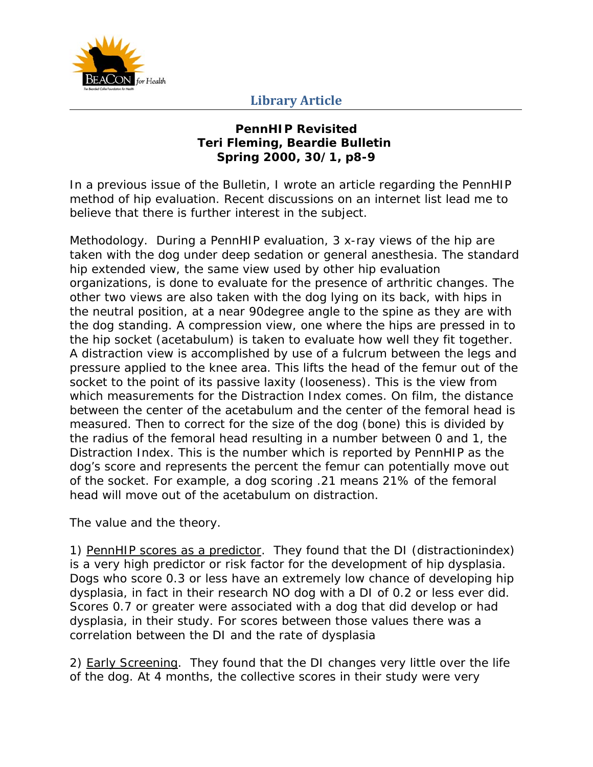

# **Library Article**

### **PennHIP Revisited Teri Fleming, Beardie Bulletin Spring 2000, 30/1, p8-9**

In a previous issue of the Bulletin, I wrote an article regarding the PennHIP method of hip evaluation. Recent discussions on an internet list lead me to believe that there is further interest in the subject.

Methodology. During a PennHIP evaluation, 3 x-ray views of the hip are taken with the dog under deep sedation or general anesthesia. The standard hip extended view, the same view used by other hip evaluation organizations, is done to evaluate for the presence of arthritic changes. The other two views are also taken with the dog lying on its back, with hips in the neutral position, at a near 90degree angle to the spine as they are with the dog standing. A compression view, one where the hips are pressed in to the hip socket (acetabulum) is taken to evaluate how well they fit together. A distraction view is accomplished by use of a fulcrum between the legs and pressure applied to the knee area. This lifts the head of the femur out of the socket to the point of its passive laxity (looseness). This is the view from which measurements for the Distraction Index comes. On film, the distance between the center of the acetabulum and the center of the femoral head is measured. Then to correct for the size of the dog (bone) this is divided by the radius of the femoral head resulting in a number between 0 and 1, the Distraction Index. This is the number which is reported by PennHIP as the dog's score and represents the percent the femur can potentially move out of the socket. For example, a dog scoring .21 means 21% of the femoral head will move out of the acetabulum on distraction.

The value and the theory.

1) PennHIP scores as a predictor. They found that the DI (distractionindex) is a very high predictor or risk factor for the development of hip dysplasia. Dogs who score 0.3 or less have an extremely low chance of developing hip dysplasia, in fact in their research NO dog with a DI of 0.2 or less ever did. Scores 0.7 or greater were associated with a dog that did develop or had dysplasia, in their study. For scores between those values there was a correlation between the DI and the rate of dysplasia

2) Early Screening. They found that the DI changes very little over the life of the dog. At 4 months, the collective scores in their study were very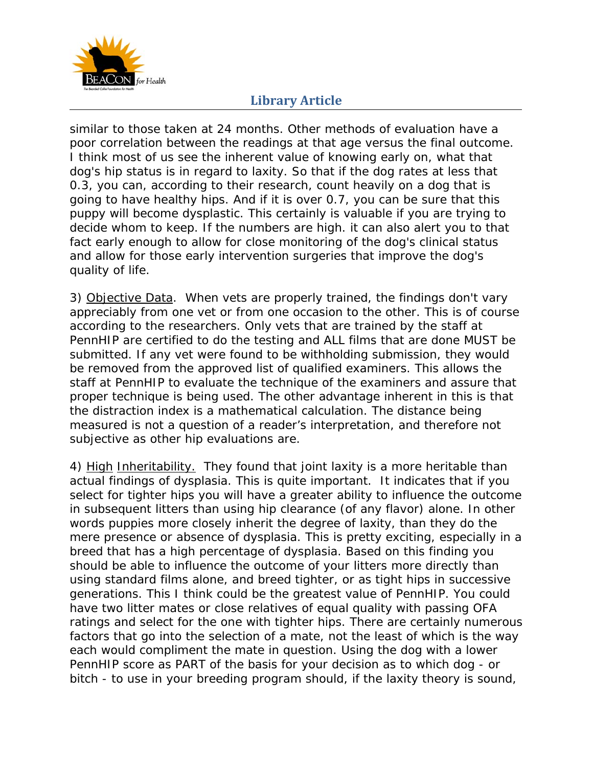

# **Library Article**

similar to those taken at 24 months. Other methods of evaluation have a poor correlation between the readings at that age versus the final outcome. I think most of us see the inherent value of knowing early on, what that dog's hip status is in regard to laxity. So that if the dog rates at less that 0.3, you can, according to their research, count heavily on a dog that is going to have healthy hips. And if it is over 0.7, you can be sure that this puppy will become dysplastic. This certainly is valuable if you are trying to decide whom to keep. If the numbers are high. it can also alert you to that fact early enough to allow for close monitoring of the dog's clinical status and allow for those early intervention surgeries that improve the dog's quality of life.

3) Objective Data. When vets are properly trained, the findings don't vary appreciably from one vet or from one occasion to the other. This is of course according to the researchers. Only vets that are trained by the staff at PennHIP are certified to do the testing and ALL films that are done MUST be submitted. If any vet were found to be withholding submission, they would be removed from the approved list of qualified examiners. This allows the staff at PennHIP to evaluate the technique of the examiners and assure that proper technique is being used. The other advantage inherent in this is that the distraction index is a mathematical calculation. The distance being measured is not a question of a reader's interpretation, and therefore not subjective as other hip evaluations are.

4) High Inheritability. They found that joint laxity is a more heritable than actual findings of dysplasia. This is quite important. It indicates that if you select for tighter hips you will have a greater ability to influence the outcome in subsequent litters than using hip clearance (of any flavor) alone. In other words puppies more closely inherit the degree of laxity, than they do the mere presence or absence of dysplasia. This is pretty exciting, especially in a breed that has a high percentage of dysplasia. Based on this finding you should be able to influence the outcome of your litters more directly than using standard films alone, and breed tighter, or as tight hips in successive generations. This I think could be the greatest value of PennHIP. You could have two litter mates or close relatives of equal quality with passing OFA ratings and select for the one with tighter hips. There are certainly numerous factors that go into the selection of a mate, not the least of which is the way each would compliment the mate in question. Using the dog with a lower PennHIP score as PART of the basis for your decision as to which dog - or bitch - to use in your breeding program should, if the laxity theory is sound,